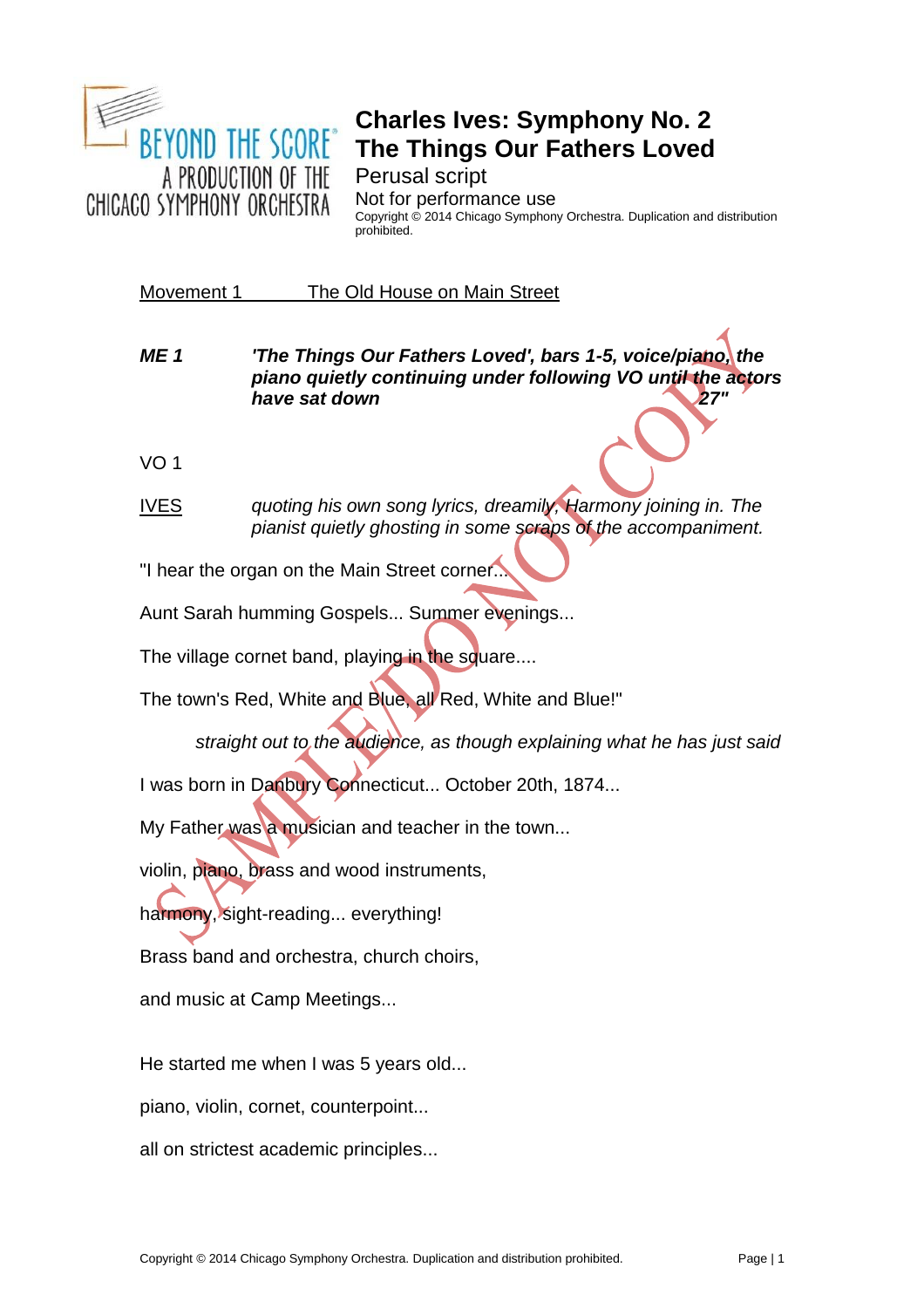

## **Charles Ives: Symphony No. 2 The Things Our Fathers Loved**

Perusal script

Not for performance use Copyright © 2014 Chicago Symphony Orchestra. Duplication and distribution prohibited.

Movement 1 The Old House on Main Street

*ME 1 'The Things Our Fathers Loved', bars 1-5, voice/piano, the piano quietly continuing under following VO until the actors*  **have sat down 27** 

VO 1

IVES *quoting his own song lyrics, dreamily, Harmony joining in. The pianist quietly ghosting in some scraps of the accompaniment.* 

"I hear the organ on the Main Street corner...

Aunt Sarah humming Gospels... Summer evenings...

The village cornet band, playing in the square....

The town's Red, White and Blue, all Red, White and Blue!"

*straight out to the audience, as though explaining what he has just said*

I was born in Danbury Connecticut... October 20th, 1874...

My Father was a musician and teacher in the town...

violin, piano, brass and wood instruments,

harmony, sight-reading... everything!

Brass band and orchestra, church choirs,

and music at Camp Meetings...

He started me when I was 5 years old...

piano, violin, cornet, counterpoint...

all on strictest academic principles...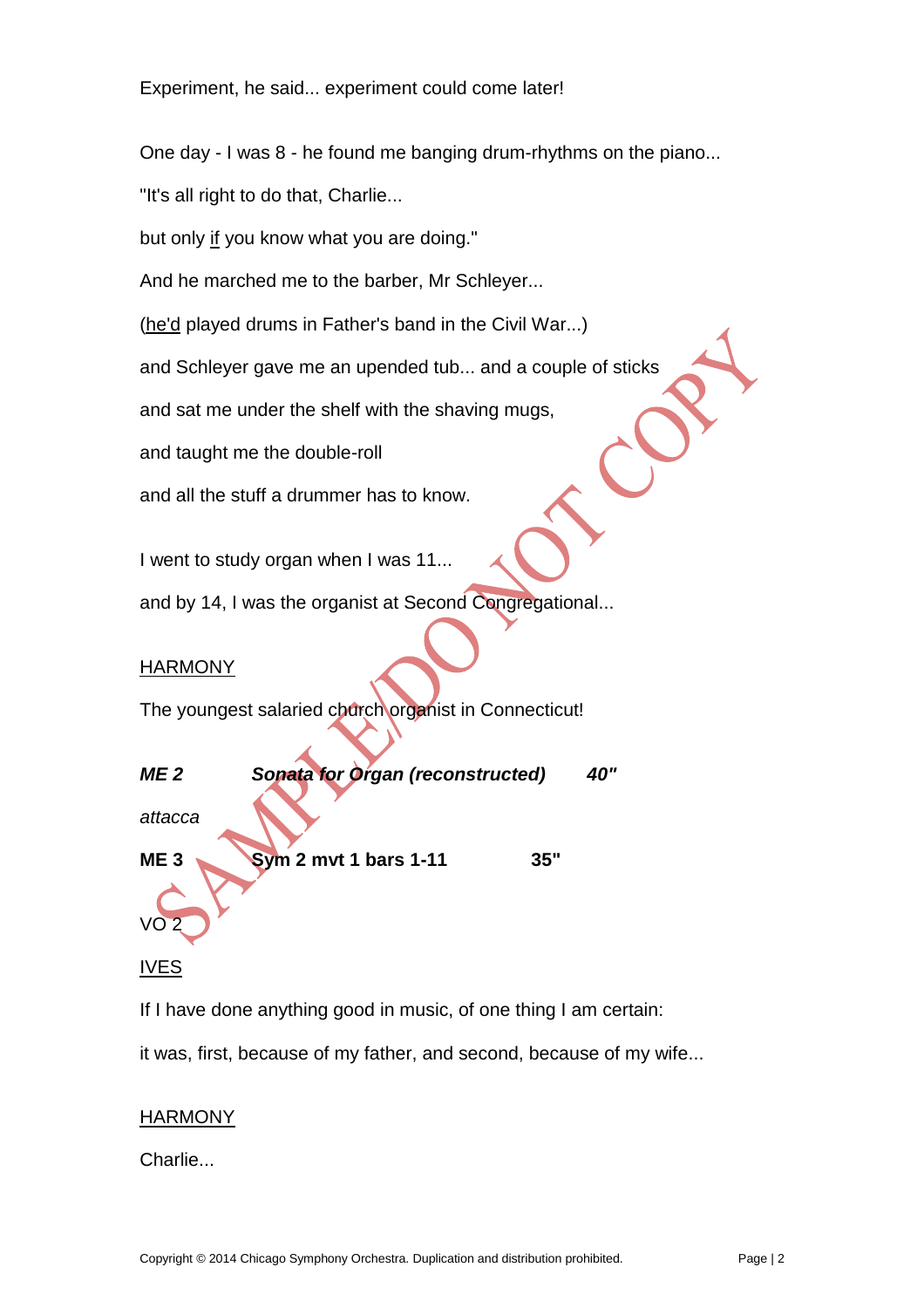Experiment, he said... experiment could come later!

One day - I was 8 - he found me banging drum-rhythms on the piano...

"It's all right to do that, Charlie...

but only if you know what you are doing."

And he marched me to the barber, Mr Schleyer...

(he'd played drums in Father's band in the Civil War...)

and Schleyer gave me an upended tub... and a couple of sticks

and sat me under the shelf with the shaving mugs,

and taught me the double-roll

and all the stuff a drummer has to know.

I went to study organ when I was 11...

and by 14, I was the organist at Second Congregational...

### HARMONY

The youngest salaried church organist in Connecticut!



#### IVES

If I have done anything good in music, of one thing I am certain:

it was, first, because of my father, and second, because of my wife...

#### HARMONY

Charlie...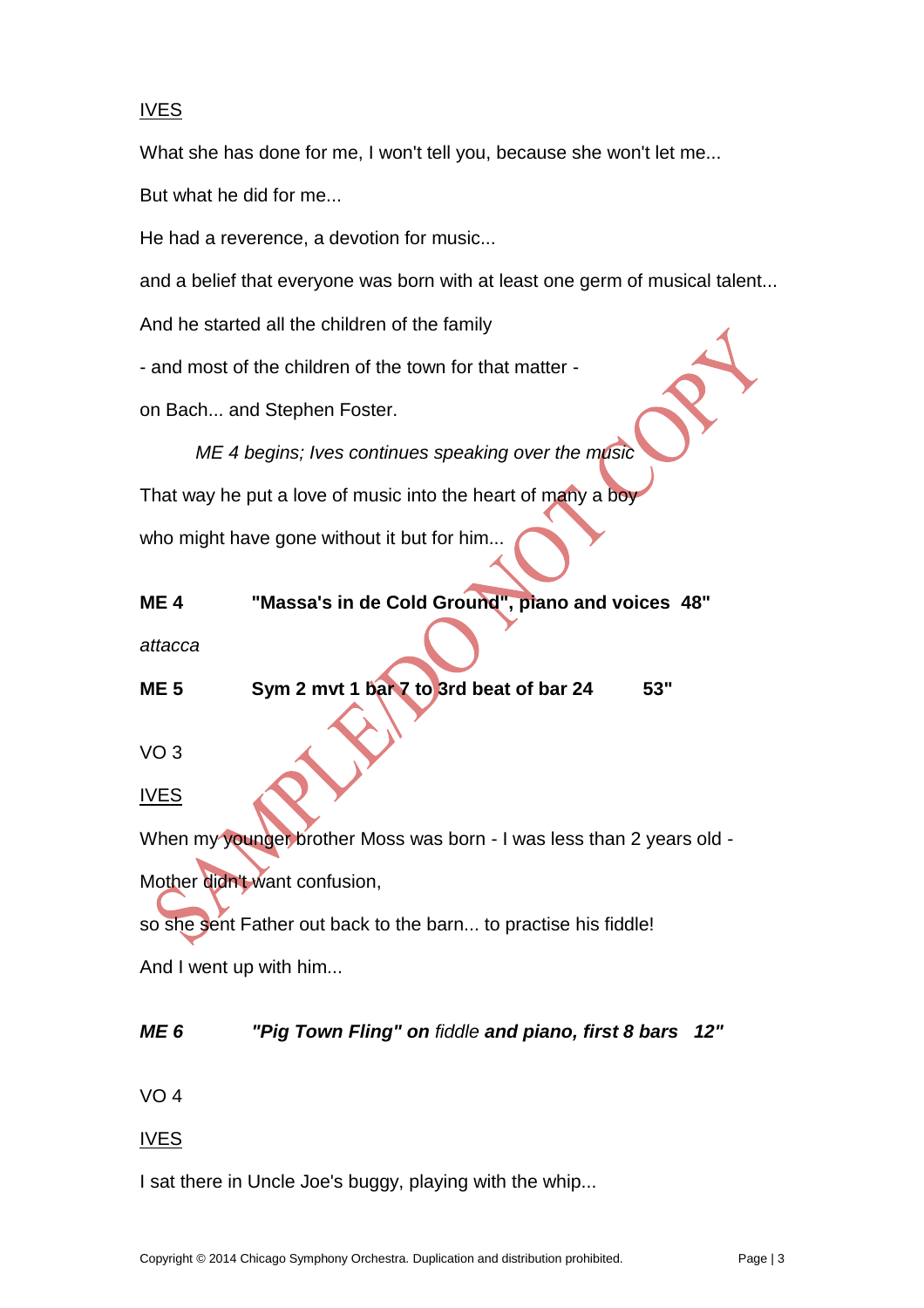#### IVES

What she has done for me, I won't tell you, because she won't let me...

But what he did for me...

He had a reverence, a devotion for music...

and a belief that everyone was born with at least one germ of musical talent...

And he started all the children of the family

- and most of the children of the town for that matter -

on Bach... and Stephen Foster.

*ME 4 begins; Ives continues speaking over the music* That way he put a love of music into the heart of many a boy who might have gone without it but for him...

| <b>ME4</b>             | "Massa's in de Cold Ground", piano and voices 48"                     |
|------------------------|-----------------------------------------------------------------------|
| attacca                |                                                                       |
| <b>ME 5</b>            | Sym 2 mvt 1 bar 7 to 3rd beat of bar 24<br>53"                        |
|                        |                                                                       |
| VO <sub>3</sub>        |                                                                       |
| <b>IVES</b>            |                                                                       |
|                        |                                                                       |
|                        | When my younger brother Moss was born - I was less than 2 years old - |
|                        | Mother didn't want confusion,                                         |
|                        | so she sent Father out back to the barn to practise his fiddle!       |
| And I went up with him |                                                                       |
|                        |                                                                       |

## *ME 6 "Pig Town Fling" on fiddle and piano, first 8 bars 12"*

VO 4

#### IVES

I sat there in Uncle Joe's buggy, playing with the whip...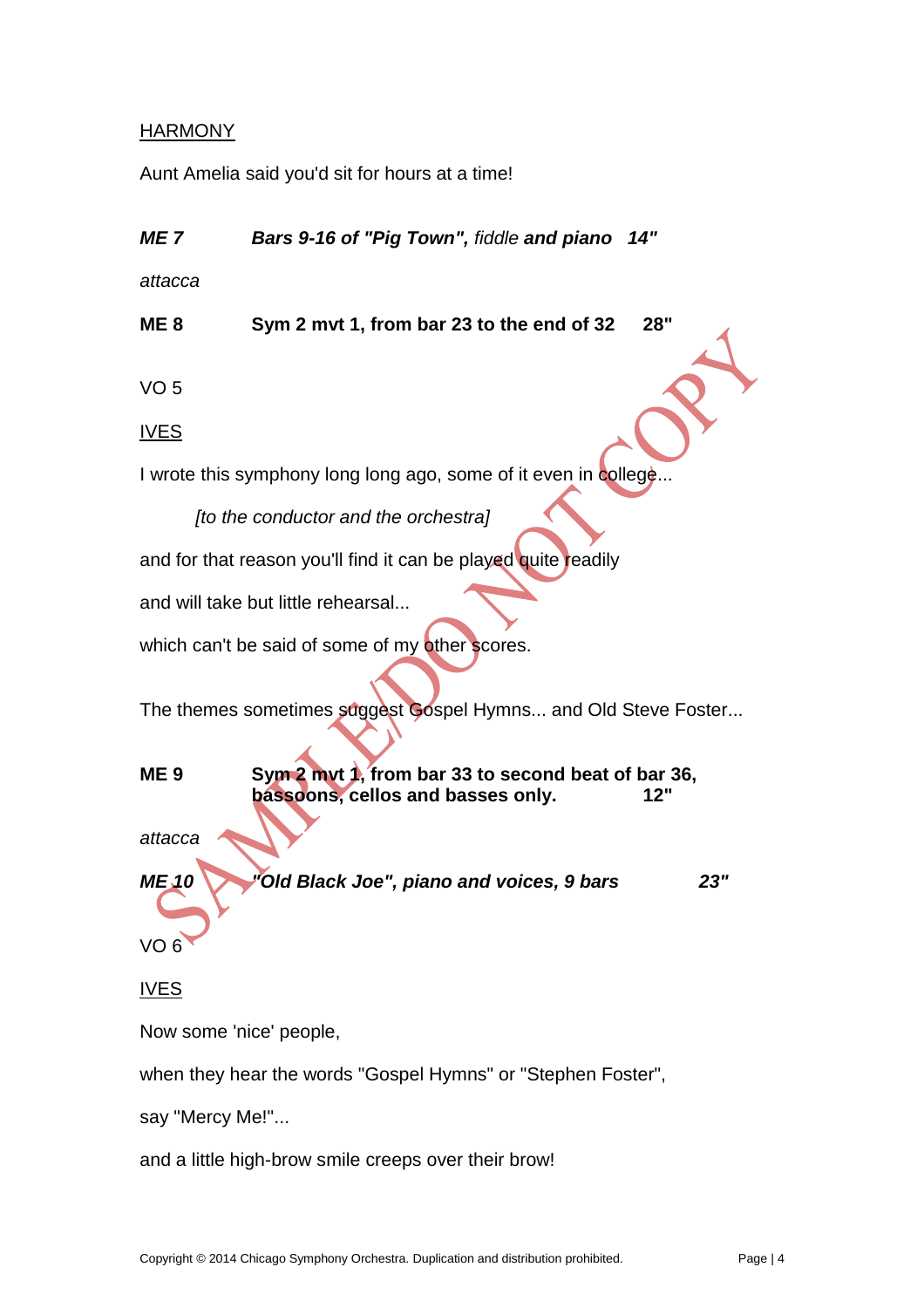#### **HARMONY**

Aunt Amelia said you'd sit for hours at a time!

*ME 7 Bars 9-16 of "Pig Town", fiddle and piano 14"*

*attacca*

**ME 8 Sym 2 mvt 1, from bar 23 to the end of 32 28"**

VO 5

IVES

I wrote this symphony long long ago, some of it even in college...

*[to the conductor and the orchestra]*

and for that reason you'll find it can be played quite readily

and will take but little rehearsal...

which can't be said of some of my other scores.

The themes sometimes suggest Gospel Hymns... and Old Steve Foster...

**ME 9 Sym 2 mvt 1, from bar 33 to second beat of bar 36, bassoons, cellos and basses only. 12"** *attacca ME 10 "Old Black Joe", piano and voices, 9 bars 23"*

VO 6

IVES

Now some 'nice' people,

when they hear the words "Gospel Hymns" or "Stephen Foster",

say "Mercy Me!"...

and a little high-brow smile creeps over their brow!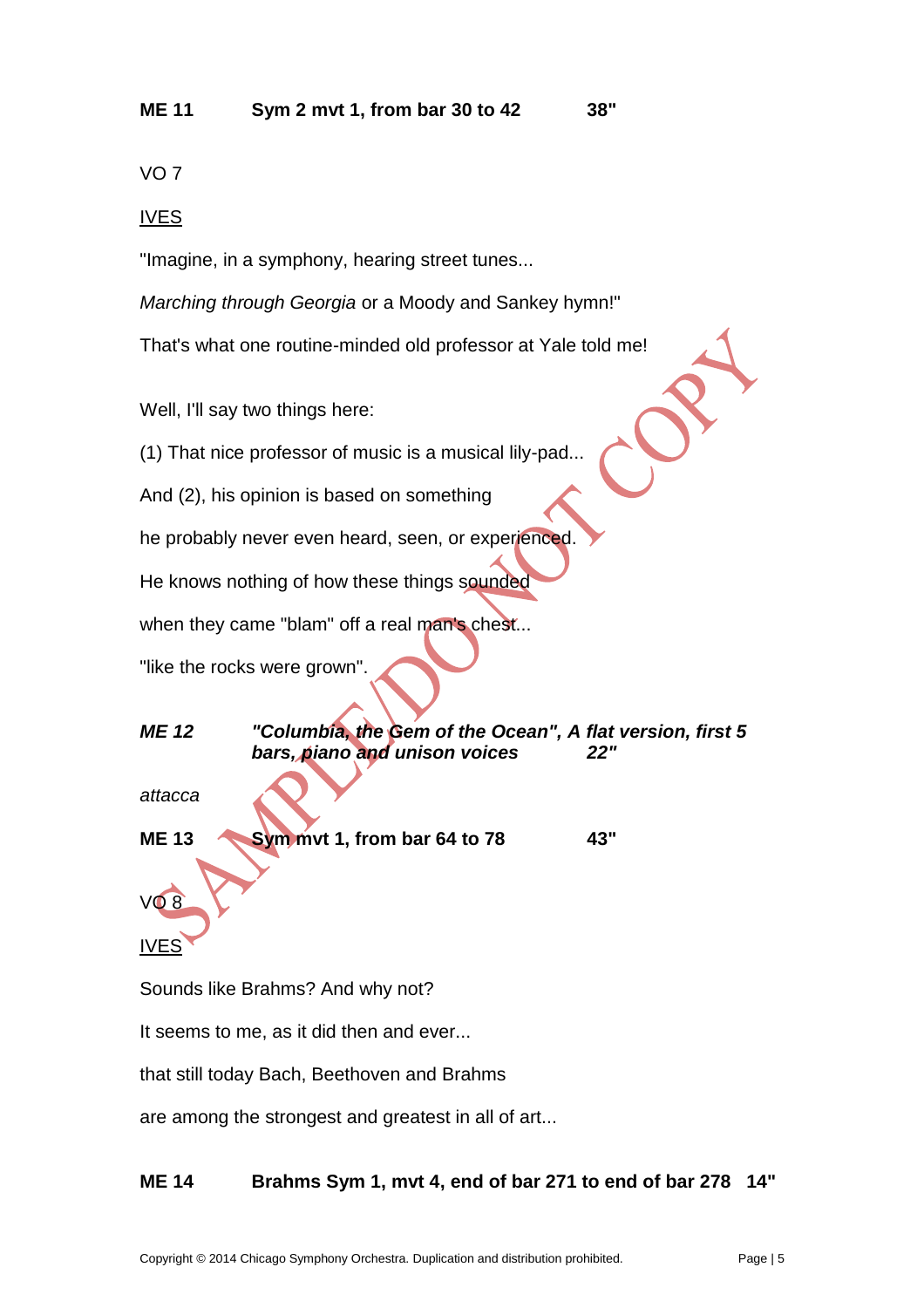## **ME 11 Sym 2 mvt 1, from bar 30 to 42 38"**

VO 7

#### IVES

"Imagine, in a symphony, hearing street tunes...

*Marching through Georgia* or a Moody and Sankey hymn!"

That's what one routine-minded old professor at Yale told me!

Well, I'll say two things here:

(1) That nice professor of music is a musical lily-pad...

And (2), his opinion is based on something

he probably never even heard, seen, or experienced.

He knows nothing of how these things sounded

when they came "blam" off a real man's chest...

"like the rocks were grown".

*ME 12 "Columbia, the Gem of the Ocean", A flat version, first 5 bars, piano and unison voices 22"*

*attacca*

**ME 13 Sym mvt 1, from bar 64 to 78 43"** 

IVES

VO 8

Sounds like Brahms? And why not?

It seems to me, as it did then and ever...

that still today Bach, Beethoven and Brahms

are among the strongest and greatest in all of art...

## **ME 14 Brahms Sym 1, mvt 4, end of bar 271 to end of bar 278 14"**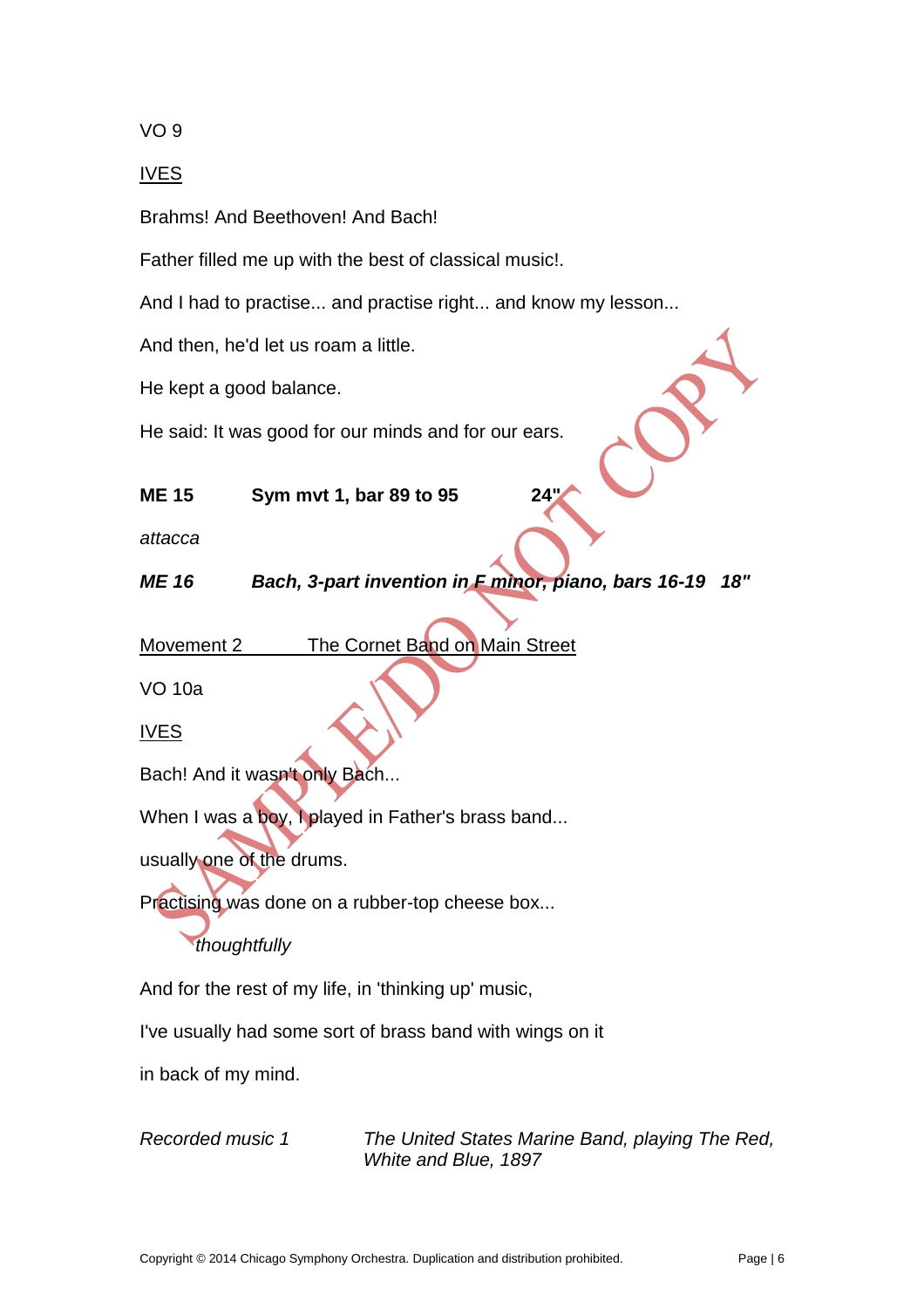VO 9

#### IVES

Brahms! And Beethoven! And Bach!

Father filled me up with the best of classical music!.

And I had to practise... and practise right... and know my lesson...

And then, he'd let us roam a little.

He kept a good balance.

He said: It was good for our minds and for our ears.

### **ME 15 Sym mvt 1, bar 89 to 95 24"**

*attacca*

## *ME 16 Bach, 3-part invention in F minor, piano, bars 16-19 18"*

Movement 2 The Cornet Band on Main Street

VO 10a

IVES

Bach! And it wasn't only Bach...

When I was a boy, I played in Father's brass band...

usually one of the drums.

Practising was done on a rubber-top cheese box...

## *thoughtfully*

And for the rest of my life, in 'thinking up' music,

I've usually had some sort of brass band with wings on it

in back of my mind.

*Recorded music 1 The United States Marine Band, playing The Red, White and Blue, 1897*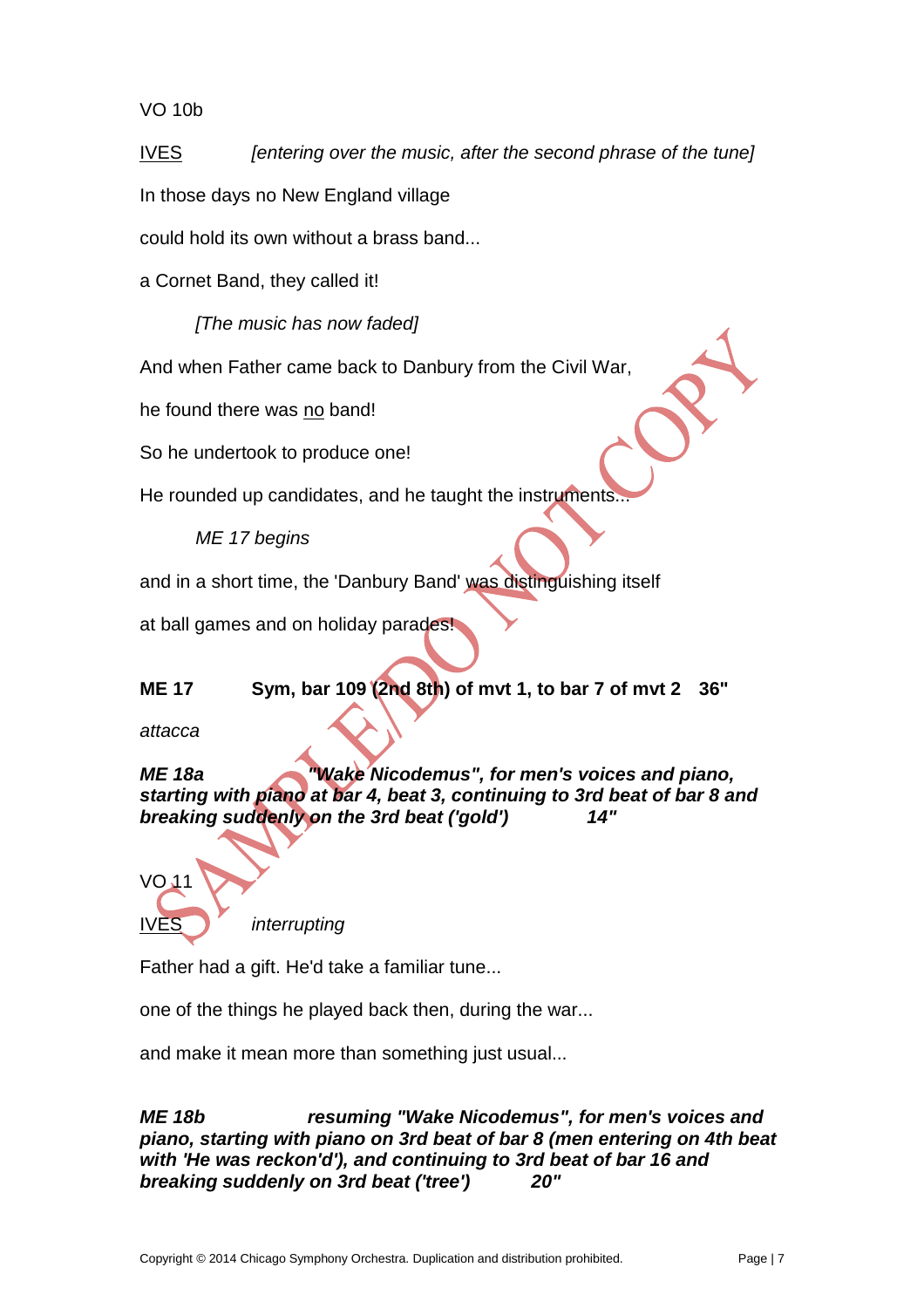#### VO 10b

IVES *[entering over the music, after the second phrase of the tune]*

In those days no New England village

could hold its own without a brass band...

a Cornet Band, they called it!

*[The music has now faded]*

And when Father came back to Danbury from the Civil War,

he found there was no band!

So he undertook to produce one!

He rounded up candidates, and he taught the instruments.

*ME 17 begins*

and in a short time, the 'Danbury Band' was distinguishing itself

at ball games and on holiday parades!

## **ME 17 Sym, bar 109 (2nd 8th) of mvt 1, to bar 7 of mvt 2 36"**

*attacca*

*ME 18a "Wake Nicodemus", for men's voices and piano, starting with piano at bar 4, beat 3, continuing to 3rd beat of bar 8 and breaking suddenly on the 3rd beat ('gold') 14"*



*interrupting* 

Father had a gift. He'd take a familiar tune...

one of the things he played back then, during the war...

and make it mean more than something just usual...

*ME 18b resuming "Wake Nicodemus", for men's voices and piano, starting with piano on 3rd beat of bar 8 (men entering on 4th beat with 'He was reckon'd'), and continuing to 3rd beat of bar 16 and breaking suddenly on 3rd beat ('tree') 20"*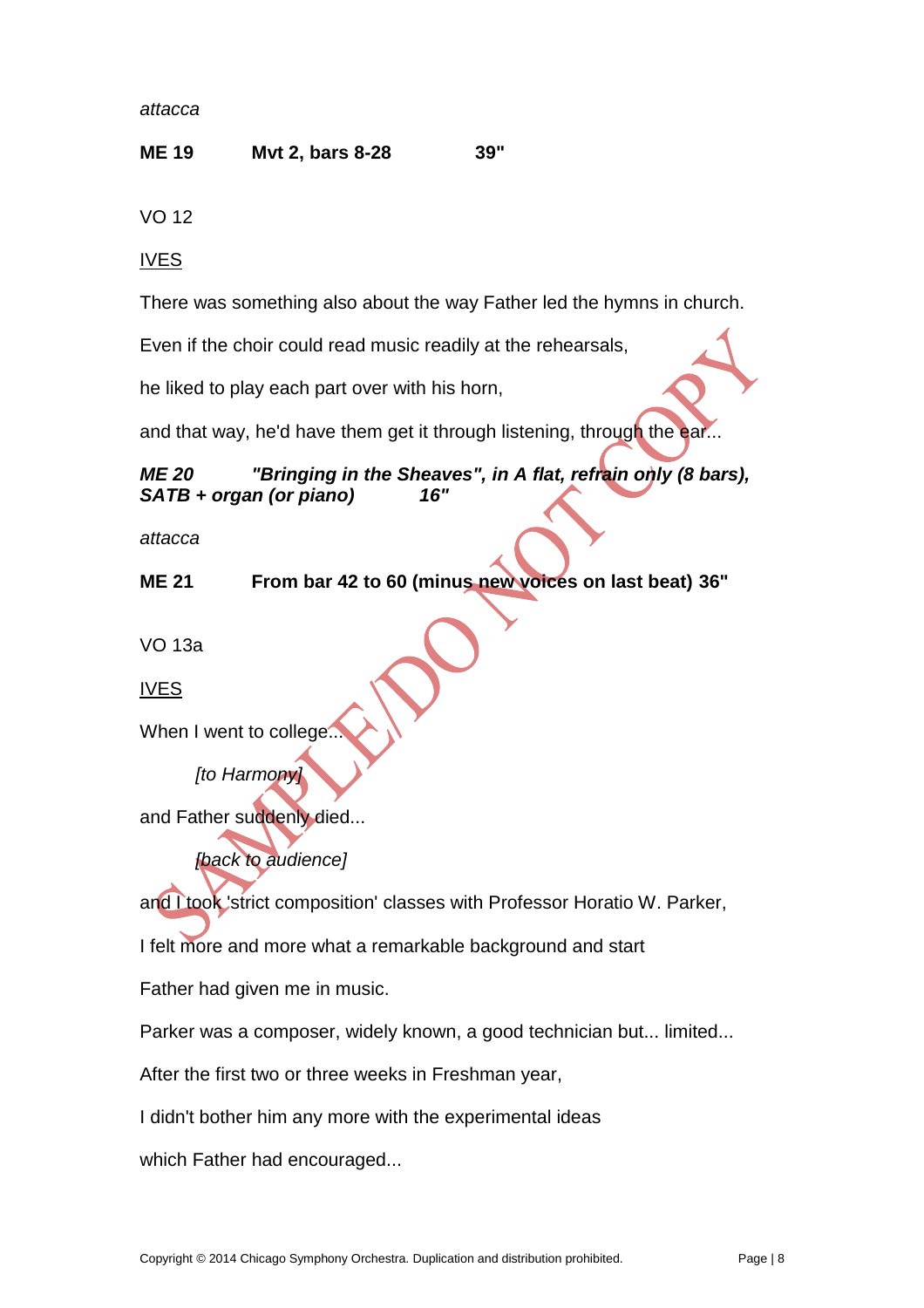*attacca*

#### **ME 19 Mvt 2, bars 8-28 39"**

VO 12

IVES

There was something also about the way Father led the hymns in church.

Even if the choir could read music readily at the rehearsals,

he liked to play each part over with his horn,

and that way, he'd have them get it through listening, through the ear...

#### *ME 20 "Bringing in the Sheaves", in A flat, refrain only (8 bars), SATB + organ (or piano) 16"*

*attacca*

**ME 21 From bar 42 to 60 (minus new voices on last beat) 36"**

VO 13a

IVES

When I went to college

*[to Harmony]*

and Father suddenly died...

*[back to audience]*

and Ltook 'strict composition' classes with Professor Horatio W. Parker,

I felt more and more what a remarkable background and start

Father had given me in music.

Parker was a composer, widely known, a good technician but... limited...

After the first two or three weeks in Freshman year,

I didn't bother him any more with the experimental ideas

which Father had encouraged...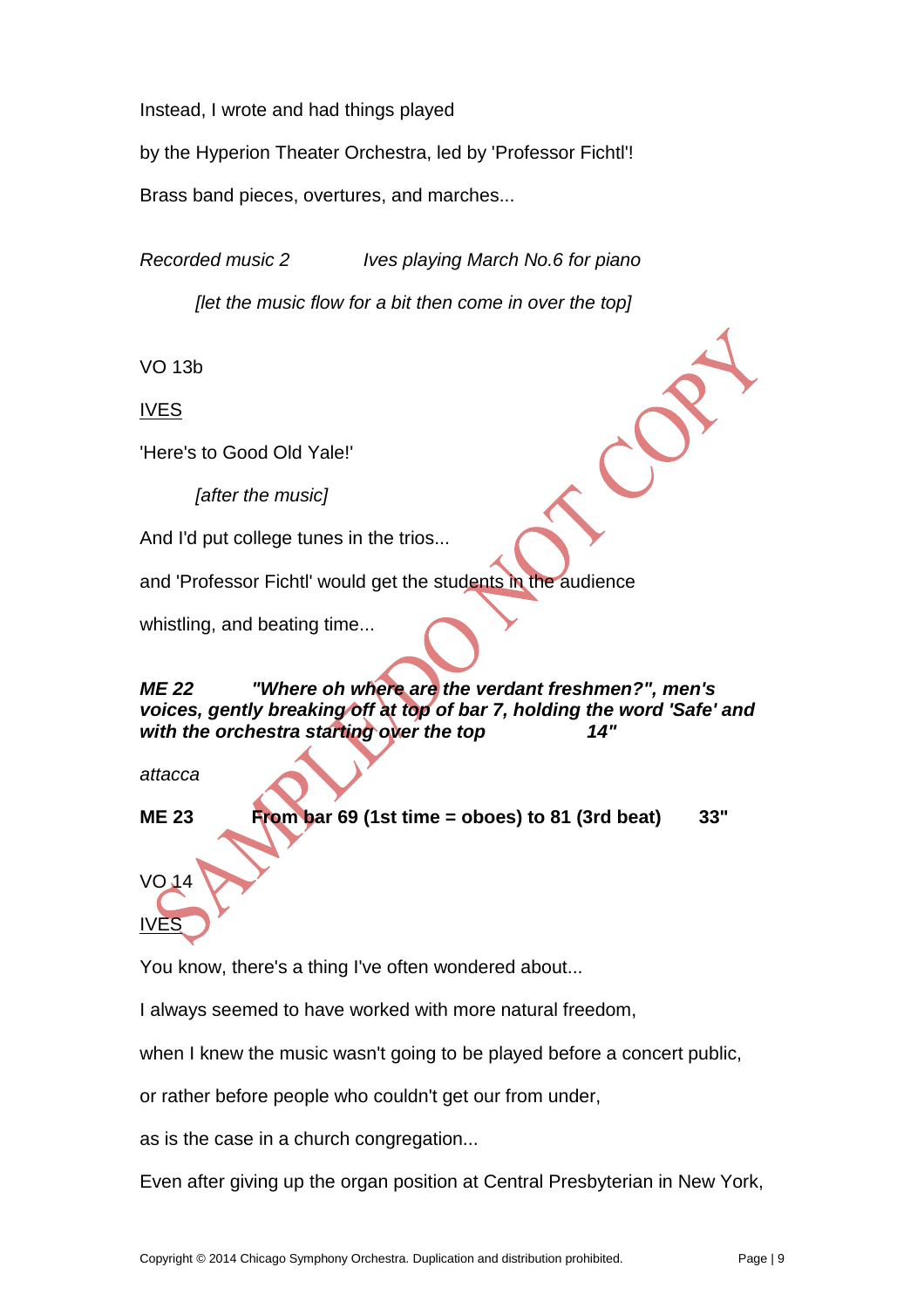Instead, I wrote and had things played

by the Hyperion Theater Orchestra, led by 'Professor Fichtl'!

Brass band pieces, overtures, and marches...

*Recorded music 2 Ives playing March No.6 for piano*

*[let the music flow for a bit then come in over the top]*

VO 13b

IVES

'Here's to Good Old Yale!'

*[after the music]*

And I'd put college tunes in the trios...

and 'Professor Fichtl' would get the students in the audience

whistling, and beating time...

## *ME 22 "Where oh where are the verdant freshmen?", men's voices, gently breaking off at top of bar 7, holding the word 'Safe' and with the orchestra starting over the top 14"*

*attacca*

**ME 23 From bar 69 (1st time = oboes) to 81 (3rd beat) 33"**

VO 14 IVES

You know, there's a thing I've often wondered about...

I always seemed to have worked with more natural freedom,

when I knew the music wasn't going to be played before a concert public,

or rather before people who couldn't get our from under,

as is the case in a church congregation...

Even after giving up the organ position at Central Presbyterian in New York,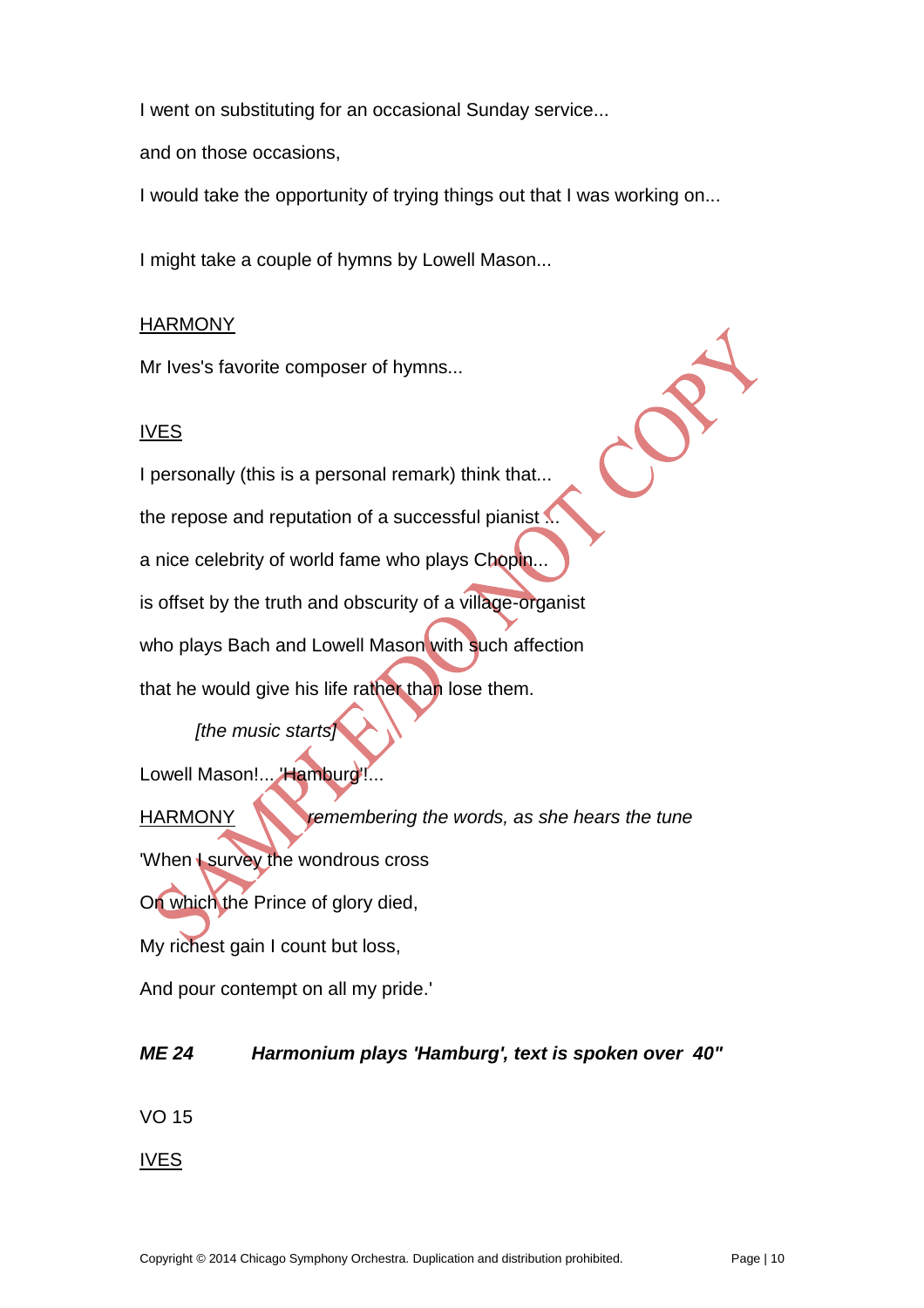I went on substituting for an occasional Sunday service...

and on those occasions,

I would take the opportunity of trying things out that I was working on...

I might take a couple of hymns by Lowell Mason...

#### **HARMONY**

Mr Ives's favorite composer of hymns...

#### IVES

I personally (this is a personal remark) think that... the repose and reputation of a successful pianist  $\blacksquare$ a nice celebrity of world fame who plays Chopin... is offset by the truth and obscurity of a village-organist who plays Bach and Lowell Mason with such affection that he would give his life rather than lose them.

## *[the music starts]*

Lowell Mason!... Hamburg!...

HARMONY *remembering the words, as she hears the tune* 'When I survey the wondrous cross On which the Prince of glory died, My richest gain I count but loss,

And pour contempt on all my pride.'

## *ME 24 Harmonium plays 'Hamburg', text is spoken over 40"*

VO 15

IVES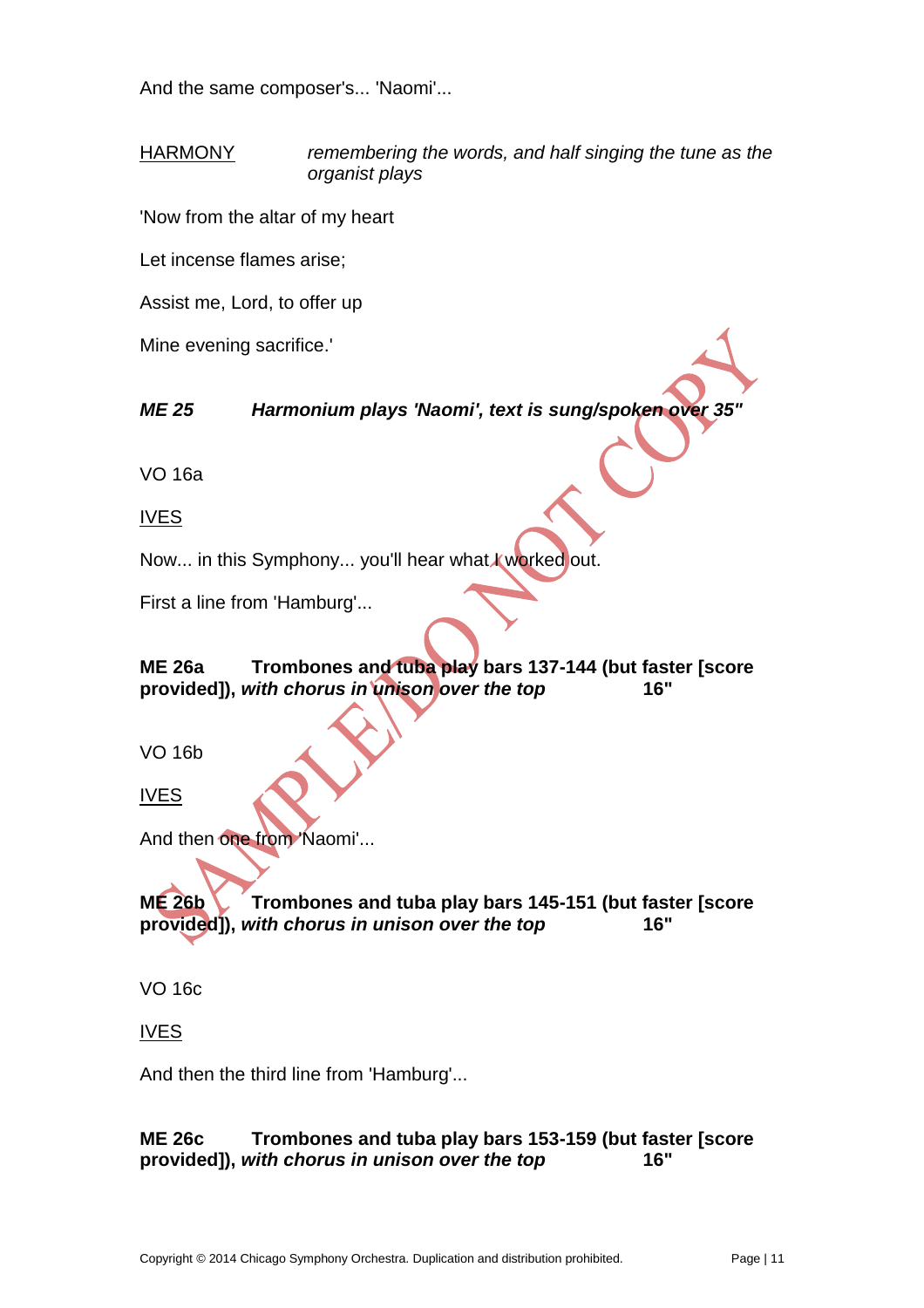And the same composer's... 'Naomi'...

HARMONY *remembering the words, and half singing the tune as the organist plays*

'Now from the altar of my heart

Let incense flames arise;

Assist me, Lord, to offer up

Mine evening sacrifice.'

*ME 25 Harmonium plays 'Naomi', text is sung/spoken over 35"*

VO 16a

IVES

Now... in this Symphony... you'll hear what I worked out.

First a line from 'Hamburg'...

**ME 26a Trombones and tuba play bars 137-144 (but faster [score provided]),** *with chorus in unison over the top* **16"**

VO 16b

IVES

And then one from 'Naomi'...

**ME 26b Trombones and tuba play bars 145-151 (but faster [score provided]),** *with chorus in unison over the top* **16"**

VO 16c

IVES

And then the third line from 'Hamburg'...

#### **ME 26c Trombones and tuba play bars 153-159 (but faster [score provided]),** *with chorus in unison over the top* **16"**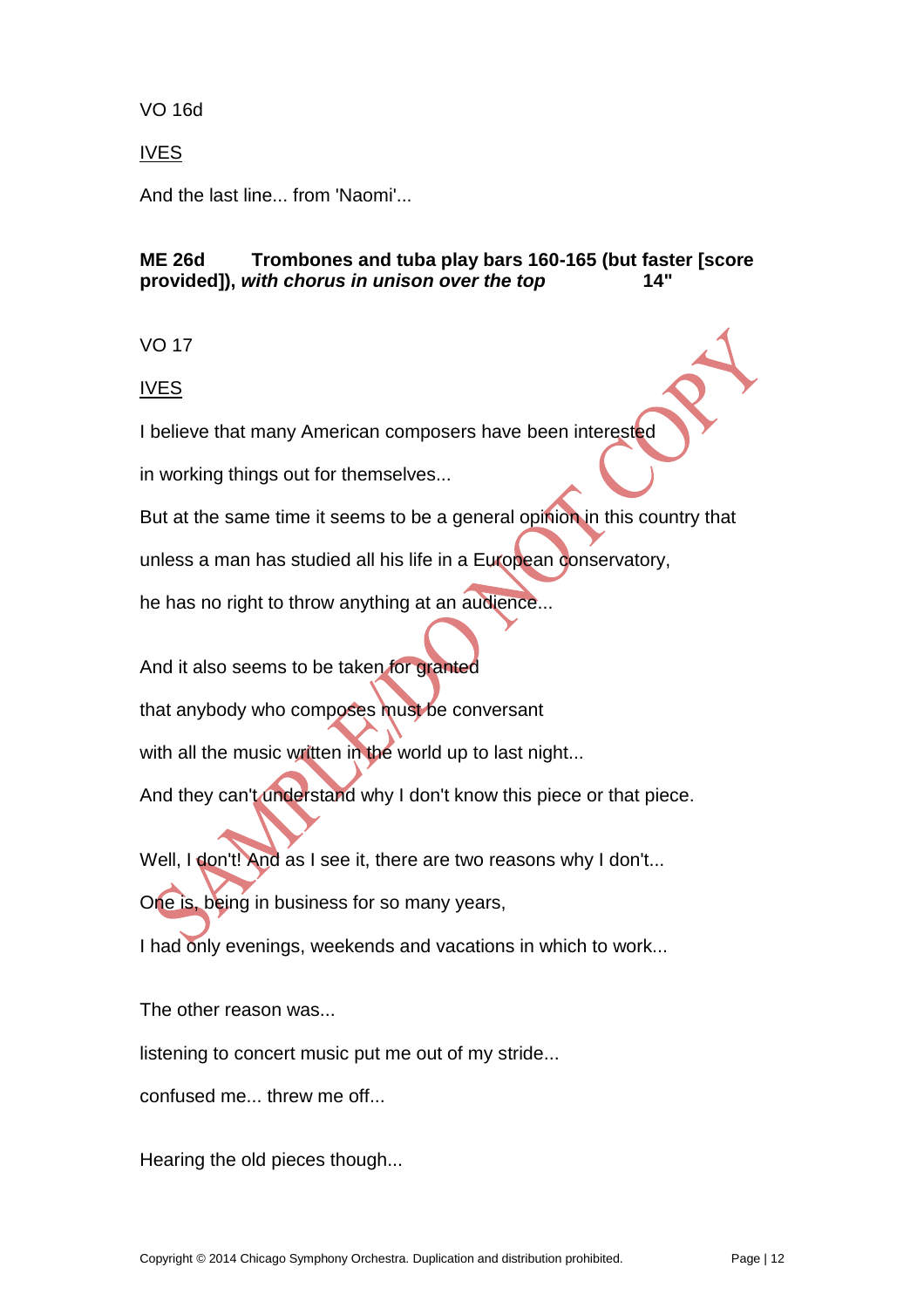### VO 16d

### IVES

And the last line... from 'Naomi'...

#### **ME 26d Trombones and tuba play bars 160-165 (but faster [score**  provided]), with chorus in unison over the top

VO 17

IVES

I believe that many American composers have been interested

in working things out for themselves...

But at the same time it seems to be a general opinion in this country that

unless a man has studied all his life in a European conservatory,

he has no right to throw anything at an audience...

And it also seems to be taken for granted

that anybody who composes must be conversant

with all the music written in the world up to last night...

And they can't understand why I don't know this piece or that piece.

Well, I don't! And as I see it, there are two reasons why I don't...

One is, being in business for so many years,

I had only evenings, weekends and vacations in which to work...

The other reason was...

listening to concert music put me out of my stride...

confused me... threw me off...

Hearing the old pieces though...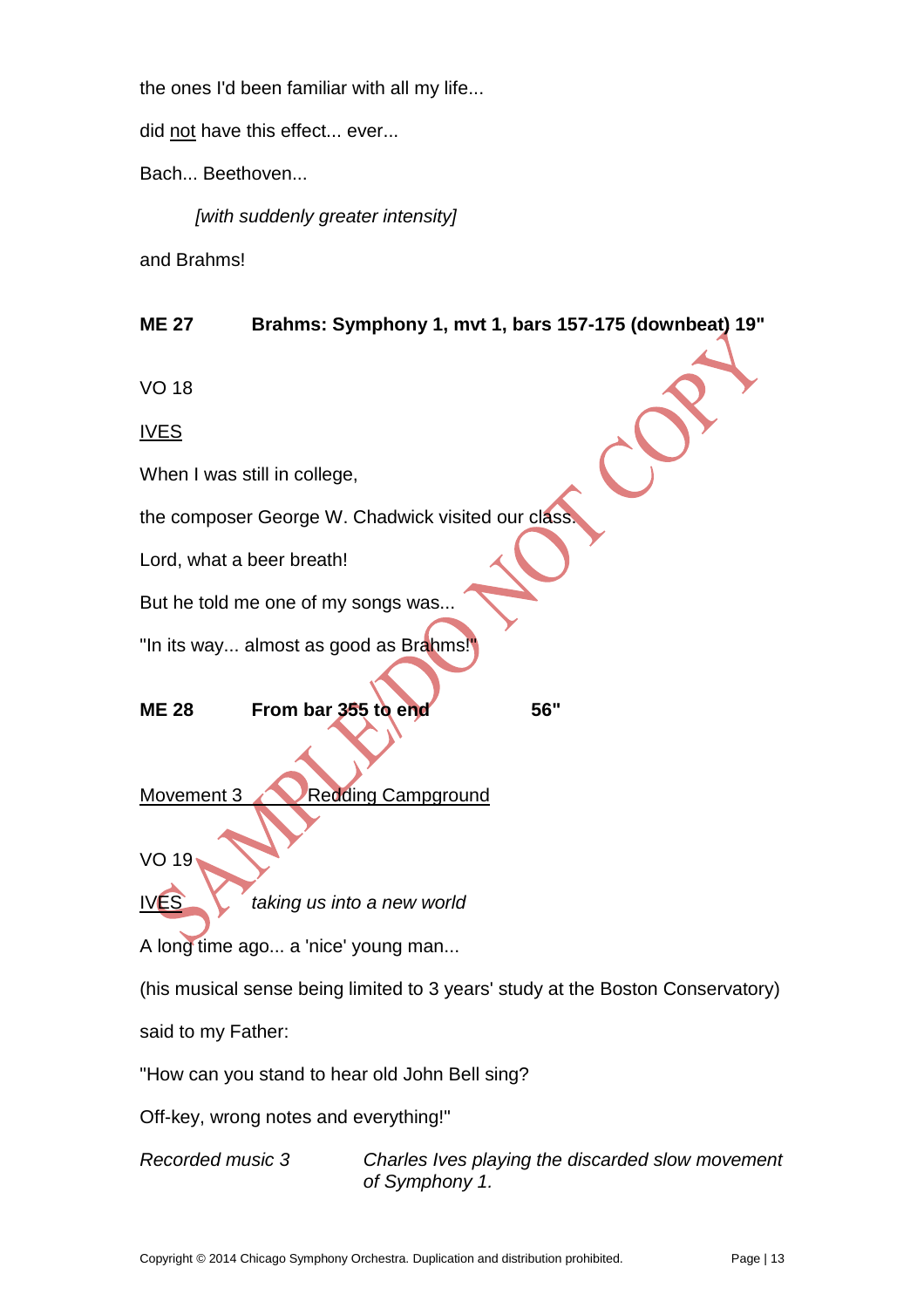the ones I'd been familiar with all my life...

did not have this effect... ever...

Bach... Beethoven...

*[with suddenly greater intensity]*

and Brahms!

#### **ME 27 Brahms: Symphony 1, mvt 1, bars 157-175 (downbeat) 19"**

VO 18

IVES

When I was still in college,

the composer George W. Chadwick visited our class

Lord, what a beer breath!

But he told me one of my songs was...

"In its way... almost as good as Brahms!"

**ME 28 From bar 355 to end 56"**

Movement 3 Redding Campground

VO 19

IVES *taking us into a new world*

A long time ago... a 'nice' young man...

(his musical sense being limited to 3 years' study at the Boston Conservatory)

said to my Father:

"How can you stand to hear old John Bell sing?

Off-key, wrong notes and everything!"

*Recorded music 3 Charles Ives playing the discarded slow movement of Symphony 1.*